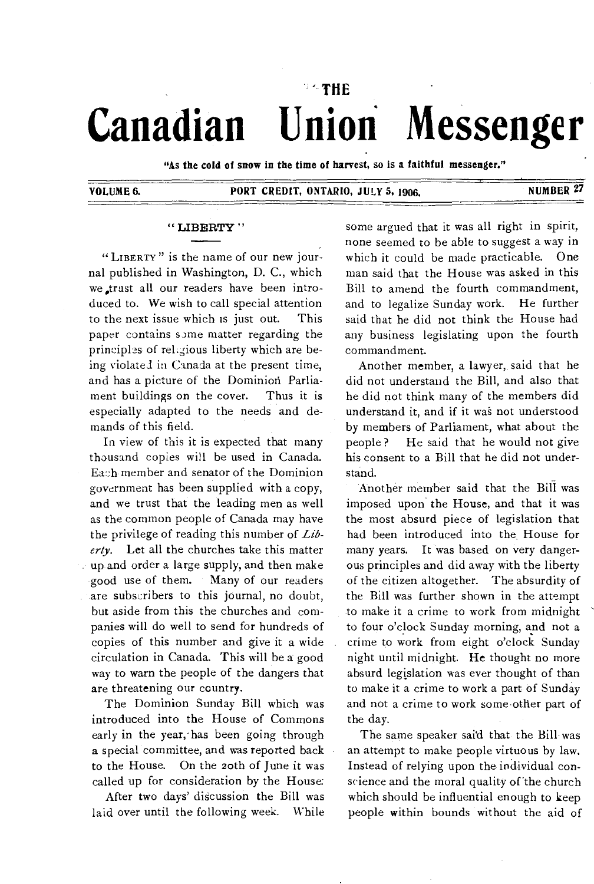# **THE Canadian Union Messenger**

**"As the cold of snow in the time of harvest, so Is a faithful messenger."** 

## **VOLUME 6. PORT CREDIT, ONTARIO, JULY 5, 1906.** NUMBER 27

#### **" LIBERTY**

" LIBERTY " is the name of our new journal published in Washington, D. C., which we ,trast all our readers have been introduced to. We wish to call special attention to the next issue which is just out. This paper contains some matter regarding the principls of rel.gious liberty which are being violated in Canada at the present time, and has a picture of the Dominion Parliament buildings on the cover. Thus it is especially adapted to the needs and demands of this field.

In view of this it is expected that many thousand copies will be used in Canada. Each member and senator of the Dominion government has been supplied with a copy, and we trust that the leading men as well as the common people of Canada may have the privilege of reading this number of *Liberty.* Let all the churches take this matter up and order a large supply, and then make good use of them. Many of our readers are subscribers to this journal, no doubt, but aside from this the churches and companies will do well to send for hundreds of copies of this number and give it a wide circulation in Canada. This will be a good way to warn the people of the dangers that are threatening our country.

The Dominion Sunday Bill which was introduced into the House of Commons early in the year, has been going through **a** special committee, and was reported back to the House. On the zoth of June it was called up for consideration by the House:

After two days' discussion the Bill was laid over until the following week. While

some argued that it was all right in spirit, none seemed to be able to suggest a way in which it could be made practicable. One man said that the House was asked in this Bill to amend the fourth commandment, and to legalize Sunday work. He further said that he did not think the House had any business legislating upon the fourth commandment.

Another member, a lawyer, said that he did not understand the Bill, and also that he did not think many of the members did understand it, and if it was not understood by members of Parliament, what about the people ? He said that he would not give his consent to a Bill that he did not understand.

Another member said that the Bill was imposed upon the House, and that it was the most absurd piece of legislation that had been introduced into the House for many years. It was based on very dangerous principles and did away with the liberty of the citizen altogether. The absurdity of the Bill was further shown in the attempt to make it a crime to work from midnight to four o'clock Sunday morning, and not a crime to work from eight o'clock Sunday night until midnight. He thought no more absurd legislation was ever thought of than to make it a crime to work a part of Sunday and not a crime to work some other part of the day.

The same speaker said that the Bill was an attempt to make people virtuous by law. Instead of relying upon the individual conscience and the moral quality of the church which should be influential enough to keep people within bounds without the aid of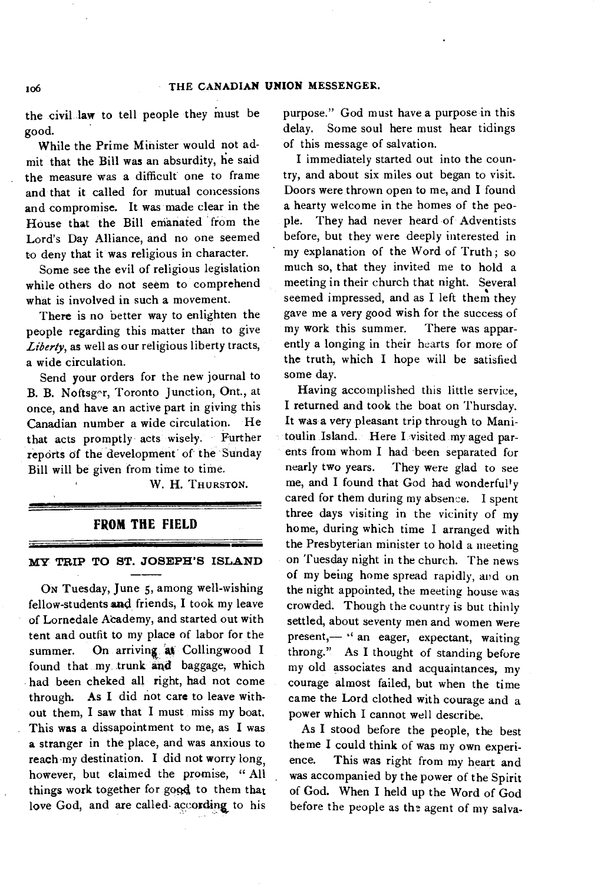the civil law to tell people they must be good.

While the Prime Minister would not admit that the Bill was an absurdity, he said the measure was a difficult one to frame and that it called for mutual concessions and compromise. It was made clear in the House that the Bill emanated from the Lord's Day Alliance, and no one seemed to deny that it was religious in character.

Some see the evil of religious legislation while others do not seem to comprehend what is involved in such a movement.

There is no better way to enlighten the people regarding this matter than to give *Liberty,* as well as our religious liberty tracts, a wide circulation.

Send your orders for the new journal to B. B. Noftsger, Toronto Junction, Ont., at once, and have an active part in giving this Canadian number a wide circulation. He that acts promptly acts wisely. Further reports of the development of the Sunday Bill will be given from time to time.

W. H. THURSTON.

#### **FROM THE FIELD**

#### **MY TRIP TO ST. JOSEPH'S ISLAND**

ON Tuesday, June *5,* among well-wishing fellow-students and friends, I took my leave of Lornedale Academy, and started out with tent and outfit to my place of labor for the summer. On arriving at Collingwood I found that my trunk and baggage, which had been cheked all right, had not come through. As I did not care to leave without them, I saw that I must miss my boat. This was a dissapointment to me, as I was a stranger in the, place, and was anxious to reach my destination. I did not worry long, however, but claimed the promise, "All things work together for good to them that love God, and are called according to his

purpose." God must have a purpose in this delay. Some soul here must hear tidings of this message of salvation.

**I** immediately started out into the country, and about six miles out began to visit. Doors were thrown open to me, and **I** found a hearty welcome in the homes of the people. They had never heard of Adventists before, but they were deeply interested in my explanation of the Word of Truth; so much so, that they invited me to hold a meeting in their church that night. Several seemed impressed, and as I left them they gave me a very good wish for the success of my work this summer. There was apparently a longing in their hearts for more of the truth, which I hope will be satisfied some day.

Having accomplished this little service, **I** returned **and** took the boat on Thursday. It was a very pleasant trip through to Manitoulin Island. Here I visited my aged parents from whom I had been separated for nearly two years. They were glad to see me, and I found that God had wonderfully cared for them during my absence. I spent three days visiting in the vicinity of my home, during which time I arranged with the Presbyterian minister to hold a meeting on Tuesday night in the church. The news of my being home spread rapidly, and on the night appointed, the meeting house was crowded. Though the country is but thinly settled, about seventy men and women were present,— " an eager, expectant, waiting throng." As I thought of standing before my old associates and acquaintances, my courage almost failed, but when the time came the Lord clothed with courage and a power which I cannot well describe.

As I stood before the people, the best theme I could think of was my own experience. This was right from my heart and was accompanied by the power of the Spirit of God. When I held up the Word of God before the people as the agent of my salva-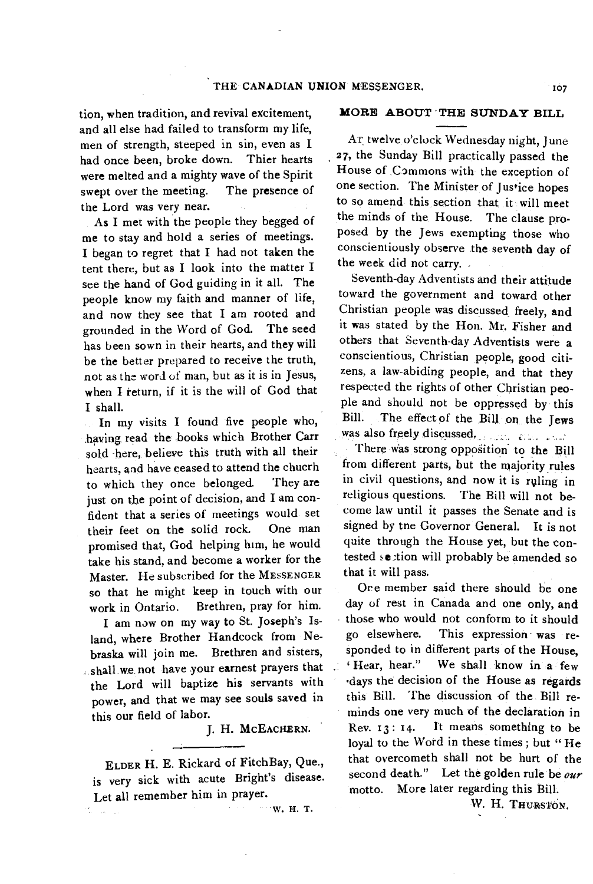tion, when tradition, and revival excitement, and all else had failed to transform my life, men of strength, steeped in sin, even as I had once been, broke down. Thier hearts were melted and a mighty wave of the Spirit swept over the meeting. The presence of the Lord was very near.

As I met with the people they begged of me to stay and hold a series of meetings. I began to regret that I had not taken the tent there, but as I look into the matter I see the hand of God guiding in it all. The people know my faith and manner of life, and now they see that I am rooted and grounded in the Word of God. The seed has been sown in their hearts, and they will be the better prepared to receive the truth, not as the word of man, but as it is in Jesus, when I return, if it is the will of God that I shall.

In my visits I found five people who, having read the books which Brother Carr sold -here, believe this truth with all their hearts, and have ceased to attend the chucrh to which they once belonged. They are just on the point of decision, and I am confident that a series of meetings would set their feet on the solid rock. One man promised that, God helping him, he would take his stand, and become a worker for the Master. He subscribed for the MESSENGER so that he might keep in touch with our work in Ontario. Brethren, pray for him.

I am now on my way to St. Joseph's Island, where Brother Handcock from Nebraska will join me. Brethren and sisters, shall we not have your earnest prayers that the Lord will baptize his servants with power, and that we may see souls saved in this our field of labor.

J. H. MCEACHERN.

ELDER H. E. Rickard of FitchBay, Que., is very sick with acute Bright's disease. Let all remember him in prayer.

ti is

W. H. T.

#### **MORE ABOUT ' THE SUNDAY BILL**

Ar twelve o'clock Wednesday night, June 27, the Sunday Bill practically passed the House of Commons with the exception of one section. The Minister of Justice hopes to so amend this section that it will meet the minds of the. House. The clause proposed by the Jews exempting those who conscientiously observe the seventh day of the week did not carry.

Seventh-day Adventists and their attitude toward the government and toward other Christian people was discussed, freely, and it was stated by the Hon. Mr. Fisher and others that Seventh-day Adventists were a conscientious, Christian people, good citizens, a law-abiding people, and that they respected the rights of other Christian people and should not be oppressed by this Bill. The effect of the Bill or the Jews was also freely discussed.

There was strong opposition to the Bill from different parts, but the majority rules in civil questions, and now it is ruling in religious questions. The Bill will not become law until it passes the Senate and is signed by tne Governor General. It is not quite through the House yet, but the contested section will probably be amended so that it will pass.

Ore member said there should be one day of rest in Canada and one only, and those who would not conform to it should go elsewhere. This expression was responded to in different parts of the House, 'Hear, hear." We shall know in a few •days the decision of the House as regards this Bill. The discussion of the Bill reminds one very much of the declaration in Rev. r3: 14. It means something to be loyal to the Word in these times; but "He that overcometh shall not be hurt of the second death." Let the golden rule be *our*  motto. More later regarding this Bill.

W. H. THURSTON.